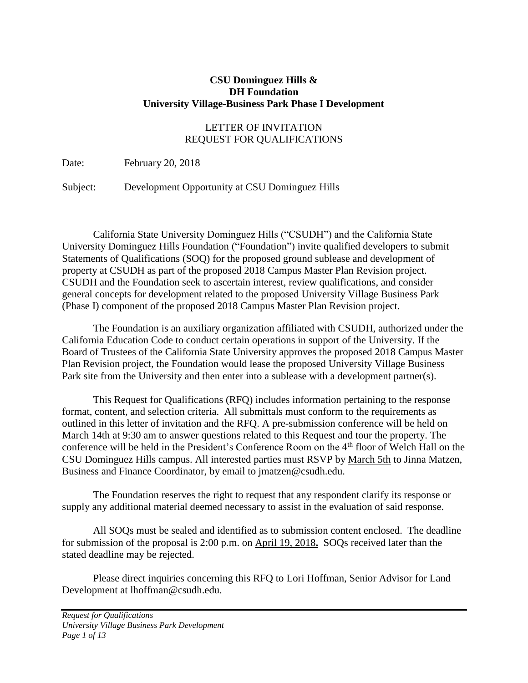#### **CSU Dominguez Hills & DH Foundation University Village-Business Park Phase I Development**

### LETTER OF INVITATION REQUEST FOR QUALIFICATIONS

Date: February 20, 2018

Subject: Development Opportunity at CSU Dominguez Hills

California State University Dominguez Hills ("CSUDH") and the California State University Dominguez Hills Foundation ("Foundation") invite qualified developers to submit Statements of Qualifications (SOQ) for the proposed ground sublease and development of property at CSUDH as part of the proposed 2018 Campus Master Plan Revision project. CSUDH and the Foundation seek to ascertain interest, review qualifications, and consider general concepts for development related to the proposed University Village Business Park (Phase I) component of the proposed 2018 Campus Master Plan Revision project.

The Foundation is an auxiliary organization affiliated with CSUDH, authorized under the California Education Code to conduct certain operations in support of the University. If the Board of Trustees of the California State University approves the proposed 2018 Campus Master Plan Revision project, the Foundation would lease the proposed University Village Business Park site from the University and then enter into a sublease with a development partner(s).

This Request for Qualifications (RFQ) includes information pertaining to the response format, content, and selection criteria. All submittals must conform to the requirements as outlined in this letter of invitation and the RFQ. A pre-submission conference will be held on March 14th at 9:30 am to answer questions related to this Request and tour the property. The conference will be held in the President's Conference Room on the 4<sup>th</sup> floor of Welch Hall on the CSU Dominguez Hills campus. All interested parties must RSVP by March 5th to Jinna Matzen, Business and Finance Coordinator, by email to jmatzen@csudh.edu.

The Foundation reserves the right to request that any respondent clarify its response or supply any additional material deemed necessary to assist in the evaluation of said response.

All SOQs must be sealed and identified as to submission content enclosed. The deadline for submission of the proposal is 2:00 p.m. on April 19, 2018**.** SOQs received later than the stated deadline may be rejected.

Please direct inquiries concerning this RFQ to Lori Hoffman, Senior Advisor for Land Development at lhoffman@csudh.edu.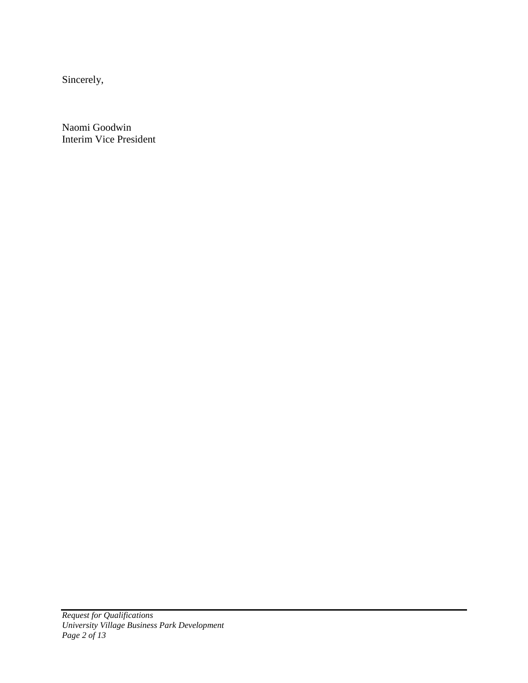Sincerely,

Naomi Goodwin Interim Vice President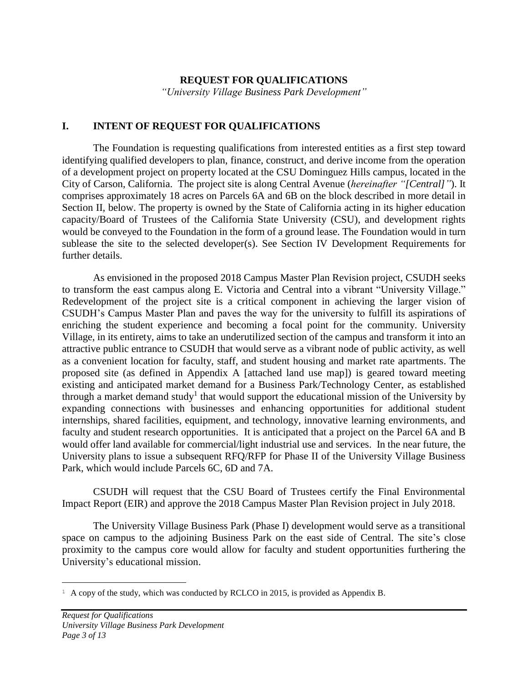#### **REQUEST FOR QUALIFICATIONS**

*"University Village Business Park Development"*

#### **I. INTENT OF REQUEST FOR QUALIFICATIONS**

The Foundation is requesting qualifications from interested entities as a first step toward identifying qualified developers to plan, finance, construct, and derive income from the operation of a development project on property located at the CSU Dominguez Hills campus, located in the City of Carson, California. The project site is along Central Avenue (*hereinafter "[Central]"*). It comprises approximately 18 acres on Parcels 6A and 6B on the block described in more detail in Section II, below. The property is owned by the State of California acting in its higher education capacity/Board of Trustees of the California State University (CSU), and development rights would be conveyed to the Foundation in the form of a ground lease. The Foundation would in turn sublease the site to the selected developer(s). See Section IV Development Requirements for further details.

As envisioned in the proposed 2018 Campus Master Plan Revision project, CSUDH seeks to transform the east campus along E. Victoria and Central into a vibrant "University Village." Redevelopment of the project site is a critical component in achieving the larger vision of CSUDH's Campus Master Plan and paves the way for the university to fulfill its aspirations of enriching the student experience and becoming a focal point for the community. University Village, in its entirety, aims to take an underutilized section of the campus and transform it into an attractive public entrance to CSUDH that would serve as a vibrant node of public activity, as well as a convenient location for faculty, staff, and student housing and market rate apartments. The proposed site (as defined in Appendix A [attached land use map]) is geared toward meeting existing and anticipated market demand for a Business Park/Technology Center, as established through a market demand study<sup>1</sup> that would support the educational mission of the University by expanding connections with businesses and enhancing opportunities for additional student internships, shared facilities, equipment, and technology, innovative learning environments, and faculty and student research opportunities. It is anticipated that a project on the Parcel 6A and B would offer land available for commercial/light industrial use and services. In the near future, the University plans to issue a subsequent RFQ/RFP for Phase II of the University Village Business Park, which would include Parcels 6C, 6D and 7A.

CSUDH will request that the CSU Board of Trustees certify the Final Environmental Impact Report (EIR) and approve the 2018 Campus Master Plan Revision project in July 2018.

The University Village Business Park (Phase I) development would serve as a transitional space on campus to the adjoining Business Park on the east side of Central. The site's close proximity to the campus core would allow for faculty and student opportunities furthering the University's educational mission.

÷.

 $1 \text{ A copy of the study, which was conducted by RCLCO in 2015, is provided as Appendix B.}$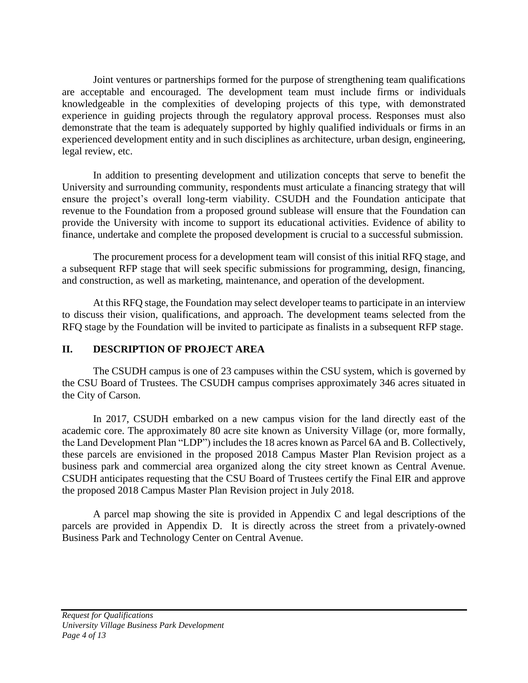Joint ventures or partnerships formed for the purpose of strengthening team qualifications are acceptable and encouraged. The development team must include firms or individuals knowledgeable in the complexities of developing projects of this type, with demonstrated experience in guiding projects through the regulatory approval process. Responses must also demonstrate that the team is adequately supported by highly qualified individuals or firms in an experienced development entity and in such disciplines as architecture, urban design, engineering, legal review, etc.

In addition to presenting development and utilization concepts that serve to benefit the University and surrounding community, respondents must articulate a financing strategy that will ensure the project's overall long-term viability. CSUDH and the Foundation anticipate that revenue to the Foundation from a proposed ground sublease will ensure that the Foundation can provide the University with income to support its educational activities. Evidence of ability to finance, undertake and complete the proposed development is crucial to a successful submission.

The procurement process for a development team will consist of this initial RFQ stage, and a subsequent RFP stage that will seek specific submissions for programming, design, financing, and construction, as well as marketing, maintenance, and operation of the development.

At this RFQ stage, the Foundation may select developer teams to participate in an interview to discuss their vision, qualifications, and approach. The development teams selected from the RFQ stage by the Foundation will be invited to participate as finalists in a subsequent RFP stage.

#### **II. DESCRIPTION OF PROJECT AREA**

The CSUDH campus is one of 23 campuses within the CSU system, which is governed by the CSU Board of Trustees. The CSUDH campus comprises approximately 346 acres situated in the City of Carson.

In 2017, CSUDH embarked on a new campus vision for the land directly east of the academic core. The approximately 80 acre site known as University Village (or, more formally, the Land Development Plan "LDP") includes the 18 acres known as Parcel 6A and B. Collectively, these parcels are envisioned in the proposed 2018 Campus Master Plan Revision project as a business park and commercial area organized along the city street known as Central Avenue. CSUDH anticipates requesting that the CSU Board of Trustees certify the Final EIR and approve the proposed 2018 Campus Master Plan Revision project in July 2018.

A parcel map showing the site is provided in Appendix C and legal descriptions of the parcels are provided in Appendix D. It is directly across the street from a privately-owned Business Park and Technology Center on Central Avenue.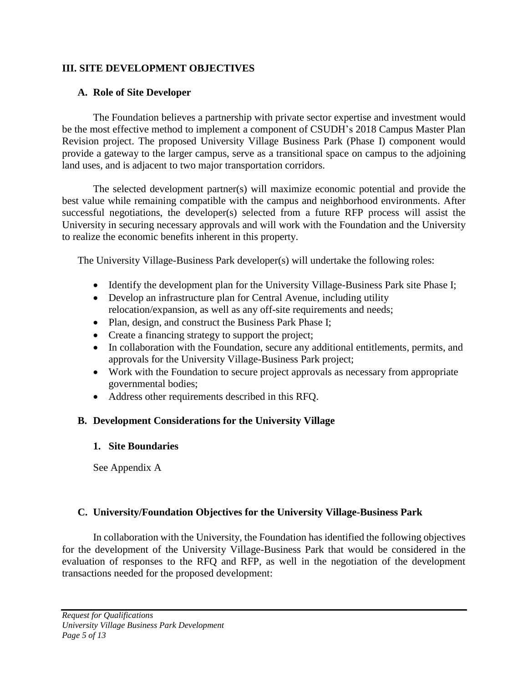### **III. SITE DEVELOPMENT OBJECTIVES**

### **A. Role of Site Developer**

The Foundation believes a partnership with private sector expertise and investment would be the most effective method to implement a component of CSUDH's 2018 Campus Master Plan Revision project. The proposed University Village Business Park (Phase I) component would provide a gateway to the larger campus, serve as a transitional space on campus to the adjoining land uses, and is adjacent to two major transportation corridors.

The selected development partner(s) will maximize economic potential and provide the best value while remaining compatible with the campus and neighborhood environments. After successful negotiations, the developer(s) selected from a future RFP process will assist the University in securing necessary approvals and will work with the Foundation and the University to realize the economic benefits inherent in this property.

The University Village-Business Park developer(s) will undertake the following roles:

- Identify the development plan for the University Village-Business Park site Phase I;
- Develop an infrastructure plan for Central Avenue, including utility relocation/expansion, as well as any off-site requirements and needs;
- Plan, design, and construct the Business Park Phase I;
- Create a financing strategy to support the project;
- In collaboration with the Foundation, secure any additional entitlements, permits, and approvals for the University Village-Business Park project;
- Work with the Foundation to secure project approvals as necessary from appropriate governmental bodies;
- Address other requirements described in this RFQ.

## **B. Development Considerations for the University Village**

#### **1. Site Boundaries**

See Appendix A

## **C. University/Foundation Objectives for the University Village-Business Park**

In collaboration with the University, the Foundation has identified the following objectives for the development of the University Village-Business Park that would be considered in the evaluation of responses to the RFQ and RFP, as well in the negotiation of the development transactions needed for the proposed development: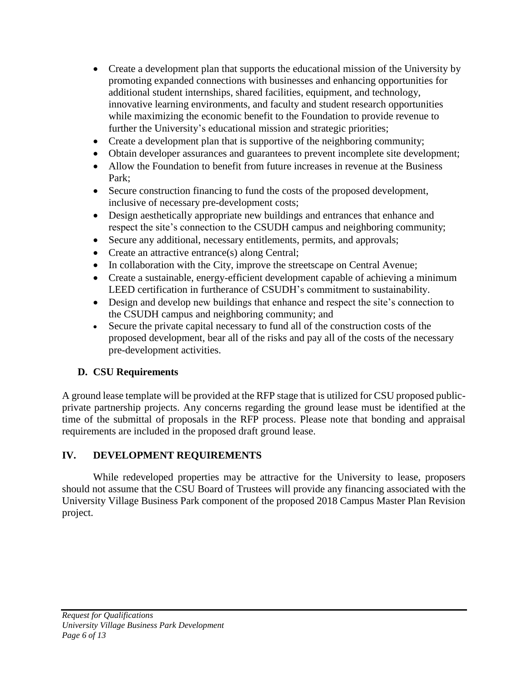- Create a development plan that supports the educational mission of the University by promoting expanded connections with businesses and enhancing opportunities for additional student internships, shared facilities, equipment, and technology, innovative learning environments, and faculty and student research opportunities while maximizing the economic benefit to the Foundation to provide revenue to further the University's educational mission and strategic priorities;
- Create a development plan that is supportive of the neighboring community;
- Obtain developer assurances and guarantees to prevent incomplete site development;
- Allow the Foundation to benefit from future increases in revenue at the Business Park;
- Secure construction financing to fund the costs of the proposed development, inclusive of necessary pre-development costs;
- Design aesthetically appropriate new buildings and entrances that enhance and respect the site's connection to the CSUDH campus and neighboring community;
- Secure any additional, necessary entitlements, permits, and approvals;
- Create an attractive entrance(s) along Central;
- In collaboration with the City, improve the streetscape on Central Avenue;
- Create a sustainable, energy-efficient development capable of achieving a minimum LEED certification in furtherance of CSUDH's commitment to sustainability.
- Design and develop new buildings that enhance and respect the site's connection to the CSUDH campus and neighboring community; and
- Secure the private capital necessary to fund all of the construction costs of the proposed development, bear all of the risks and pay all of the costs of the necessary pre-development activities.

# **D. CSU Requirements**

A ground lease template will be provided at the RFP stage that is utilized for CSU proposed publicprivate partnership projects. Any concerns regarding the ground lease must be identified at the time of the submittal of proposals in the RFP process. Please note that bonding and appraisal requirements are included in the proposed draft ground lease.

# **IV. DEVELOPMENT REQUIREMENTS**

While redeveloped properties may be attractive for the University to lease, proposers should not assume that the CSU Board of Trustees will provide any financing associated with the University Village Business Park component of the proposed 2018 Campus Master Plan Revision project.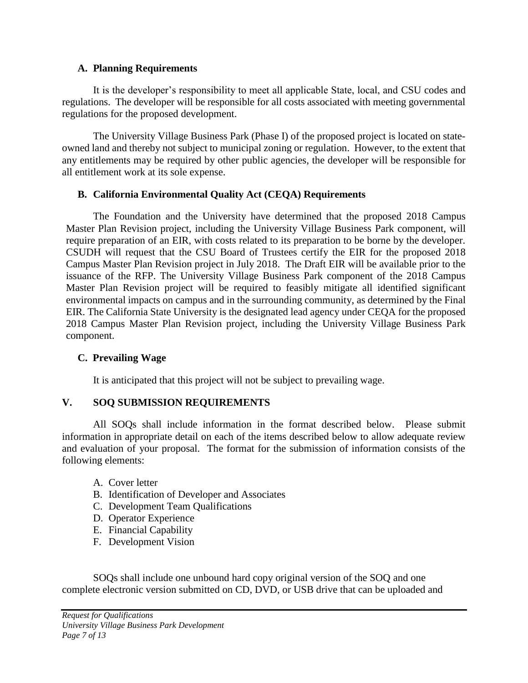#### **A. Planning Requirements**

It is the developer's responsibility to meet all applicable State, local, and CSU codes and regulations. The developer will be responsible for all costs associated with meeting governmental regulations for the proposed development.

The University Village Business Park (Phase I) of the proposed project is located on stateowned land and thereby not subject to municipal zoning or regulation. However, to the extent that any entitlements may be required by other public agencies, the developer will be responsible for all entitlement work at its sole expense.

#### **B. California Environmental Quality Act (CEQA) Requirements**

The Foundation and the University have determined that the proposed 2018 Campus Master Plan Revision project, including the University Village Business Park component, will require preparation of an EIR, with costs related to its preparation to be borne by the developer. CSUDH will request that the CSU Board of Trustees certify the EIR for the proposed 2018 Campus Master Plan Revision project in July 2018. The Draft EIR will be available prior to the issuance of the RFP. The University Village Business Park component of the 2018 Campus Master Plan Revision project will be required to feasibly mitigate all identified significant environmental impacts on campus and in the surrounding community, as determined by the Final EIR. The California State University is the designated lead agency under CEQA for the proposed 2018 Campus Master Plan Revision project, including the University Village Business Park component.

#### **C. Prevailing Wage**

It is anticipated that this project will not be subject to prevailing wage.

## **V. SOQ SUBMISSION REQUIREMENTS**

All SOQs shall include information in the format described below. Please submit information in appropriate detail on each of the items described below to allow adequate review and evaluation of your proposal. The format for the submission of information consists of the following elements:

- A. Cover letter
- B. Identification of Developer and Associates
- C. Development Team Qualifications
- D. Operator Experience
- E. Financial Capability
- F. Development Vision

SOQs shall include one unbound hard copy original version of the SOQ and one complete electronic version submitted on CD, DVD, or USB drive that can be uploaded and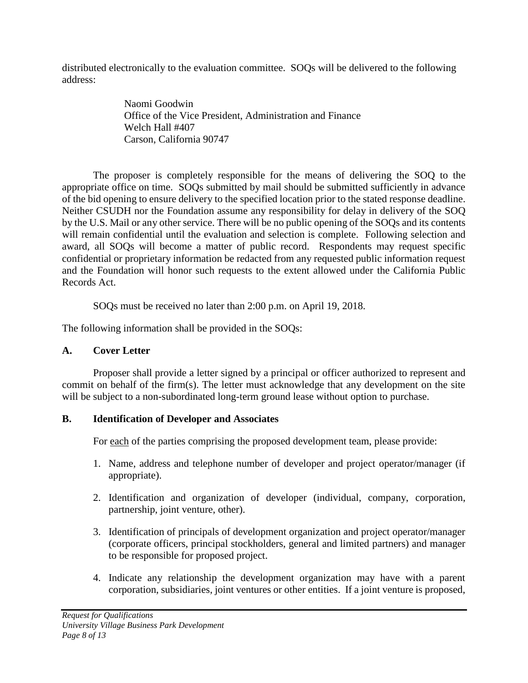distributed electronically to the evaluation committee. SOQs will be delivered to the following address:

> Naomi Goodwin Office of the Vice President, Administration and Finance Welch Hall #407 Carson, California 90747

The proposer is completely responsible for the means of delivering the SOQ to the appropriate office on time. SOQs submitted by mail should be submitted sufficiently in advance of the bid opening to ensure delivery to the specified location prior to the stated response deadline. Neither CSUDH nor the Foundation assume any responsibility for delay in delivery of the SOQ by the U.S. Mail or any other service. There will be no public opening of the SOQs and its contents will remain confidential until the evaluation and selection is complete. Following selection and award, all SOQs will become a matter of public record. Respondents may request specific confidential or proprietary information be redacted from any requested public information request and the Foundation will honor such requests to the extent allowed under the California Public Records Act.

SOQs must be received no later than 2:00 p.m. on April 19, 2018.

The following information shall be provided in the SOQs:

# **A. Cover Letter**

Proposer shall provide a letter signed by a principal or officer authorized to represent and commit on behalf of the firm(s). The letter must acknowledge that any development on the site will be subject to a non-subordinated long-term ground lease without option to purchase.

# **B. Identification of Developer and Associates**

For each of the parties comprising the proposed development team, please provide:

- 1. Name, address and telephone number of developer and project operator/manager (if appropriate).
- 2. Identification and organization of developer (individual, company, corporation, partnership, joint venture, other).
- 3. Identification of principals of development organization and project operator/manager (corporate officers, principal stockholders, general and limited partners) and manager to be responsible for proposed project.
- 4. Indicate any relationship the development organization may have with a parent corporation, subsidiaries, joint ventures or other entities. If a joint venture is proposed,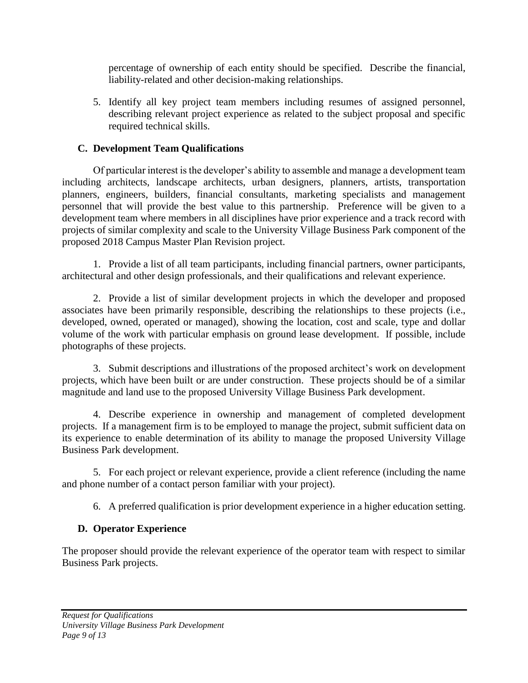percentage of ownership of each entity should be specified. Describe the financial, liability-related and other decision-making relationships.

5. Identify all key project team members including resumes of assigned personnel, describing relevant project experience as related to the subject proposal and specific required technical skills.

## **C. Development Team Qualifications**

Of particular interest is the developer's ability to assemble and manage a development team including architects, landscape architects, urban designers, planners, artists, transportation planners, engineers, builders, financial consultants, marketing specialists and management personnel that will provide the best value to this partnership. Preference will be given to a development team where members in all disciplines have prior experience and a track record with projects of similar complexity and scale to the University Village Business Park component of the proposed 2018 Campus Master Plan Revision project.

1. Provide a list of all team participants, including financial partners, owner participants, architectural and other design professionals, and their qualifications and relevant experience.

2. Provide a list of similar development projects in which the developer and proposed associates have been primarily responsible, describing the relationships to these projects (i.e., developed, owned, operated or managed), showing the location, cost and scale, type and dollar volume of the work with particular emphasis on ground lease development. If possible, include photographs of these projects.

3. Submit descriptions and illustrations of the proposed architect's work on development projects, which have been built or are under construction. These projects should be of a similar magnitude and land use to the proposed University Village Business Park development.

4. Describe experience in ownership and management of completed development projects. If a management firm is to be employed to manage the project, submit sufficient data on its experience to enable determination of its ability to manage the proposed University Village Business Park development.

5. For each project or relevant experience, provide a client reference (including the name and phone number of a contact person familiar with your project).

6. A preferred qualification is prior development experience in a higher education setting.

# **D. Operator Experience**

The proposer should provide the relevant experience of the operator team with respect to similar Business Park projects.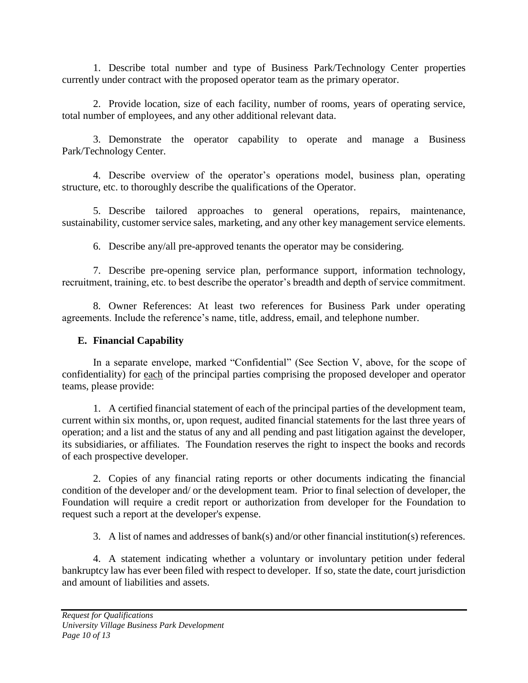1. Describe total number and type of Business Park/Technology Center properties currently under contract with the proposed operator team as the primary operator.

2. Provide location, size of each facility, number of rooms, years of operating service, total number of employees, and any other additional relevant data.

3. Demonstrate the operator capability to operate and manage a Business Park/Technology Center.

4. Describe overview of the operator's operations model, business plan, operating structure, etc. to thoroughly describe the qualifications of the Operator.

5. Describe tailored approaches to general operations, repairs, maintenance, sustainability, customer service sales, marketing, and any other key management service elements.

6. Describe any/all pre-approved tenants the operator may be considering.

7. Describe pre-opening service plan, performance support, information technology, recruitment, training, etc. to best describe the operator's breadth and depth of service commitment.

8. Owner References: At least two references for Business Park under operating agreements. Include the reference's name, title, address, email, and telephone number.

## **E. Financial Capability**

In a separate envelope, marked "Confidential" (See Section V, above, for the scope of confidentiality) for each of the principal parties comprising the proposed developer and operator teams, please provide:

1. A certified financial statement of each of the principal parties of the development team, current within six months, or, upon request, audited financial statements for the last three years of operation; and a list and the status of any and all pending and past litigation against the developer, its subsidiaries, or affiliates. The Foundation reserves the right to inspect the books and records of each prospective developer.

2. Copies of any financial rating reports or other documents indicating the financial condition of the developer and/ or the development team. Prior to final selection of developer, the Foundation will require a credit report or authorization from developer for the Foundation to request such a report at the developer's expense.

3. A list of names and addresses of bank(s) and/or other financial institution(s) references.

4. A statement indicating whether a voluntary or involuntary petition under federal bankruptcy law has ever been filed with respect to developer. If so, state the date, court jurisdiction and amount of liabilities and assets.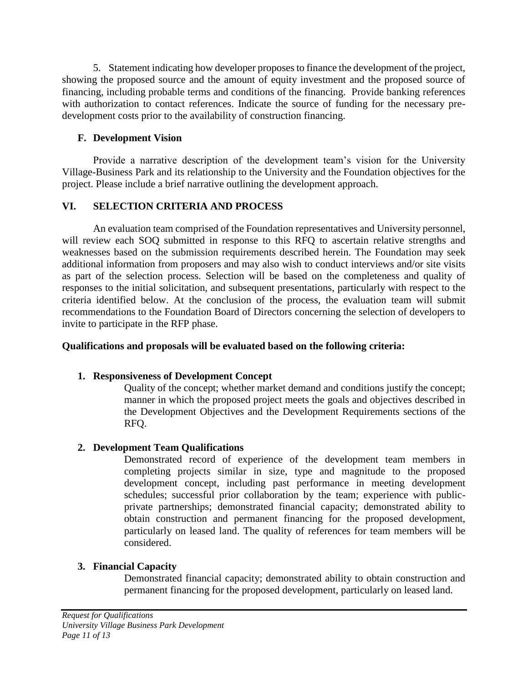5. Statement indicating how developer proposes to finance the development of the project, showing the proposed source and the amount of equity investment and the proposed source of financing, including probable terms and conditions of the financing. Provide banking references with authorization to contact references. Indicate the source of funding for the necessary predevelopment costs prior to the availability of construction financing.

### **F. Development Vision**

Provide a narrative description of the development team's vision for the University Village-Business Park and its relationship to the University and the Foundation objectives for the project. Please include a brief narrative outlining the development approach.

## **VI. SELECTION CRITERIA AND PROCESS**

An evaluation team comprised of the Foundation representatives and University personnel, will review each SOQ submitted in response to this RFQ to ascertain relative strengths and weaknesses based on the submission requirements described herein. The Foundation may seek additional information from proposers and may also wish to conduct interviews and/or site visits as part of the selection process. Selection will be based on the completeness and quality of responses to the initial solicitation, and subsequent presentations, particularly with respect to the criteria identified below. At the conclusion of the process, the evaluation team will submit recommendations to the Foundation Board of Directors concerning the selection of developers to invite to participate in the RFP phase.

### **Qualifications and proposals will be evaluated based on the following criteria:**

## **1. Responsiveness of Development Concept**

Quality of the concept; whether market demand and conditions justify the concept; manner in which the proposed project meets the goals and objectives described in the Development Objectives and the Development Requirements sections of the RFQ.

## **2. Development Team Qualifications**

Demonstrated record of experience of the development team members in completing projects similar in size, type and magnitude to the proposed development concept, including past performance in meeting development schedules; successful prior collaboration by the team; experience with publicprivate partnerships; demonstrated financial capacity; demonstrated ability to obtain construction and permanent financing for the proposed development, particularly on leased land. The quality of references for team members will be considered.

## **3. Financial Capacity**

Demonstrated financial capacity; demonstrated ability to obtain construction and permanent financing for the proposed development, particularly on leased land.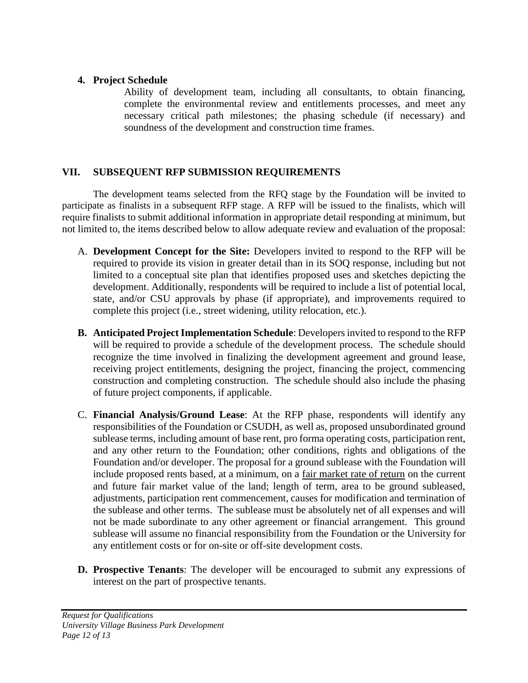#### **4. Project Schedule**

Ability of development team, including all consultants, to obtain financing, complete the environmental review and entitlements processes, and meet any necessary critical path milestones; the phasing schedule (if necessary) and soundness of the development and construction time frames.

### **VII. SUBSEQUENT RFP SUBMISSION REQUIREMENTS**

The development teams selected from the RFQ stage by the Foundation will be invited to participate as finalists in a subsequent RFP stage. A RFP will be issued to the finalists, which will require finalists to submit additional information in appropriate detail responding at minimum, but not limited to, the items described below to allow adequate review and evaluation of the proposal:

- A. **Development Concept for the Site:** Developers invited to respond to the RFP will be required to provide its vision in greater detail than in its SOQ response, including but not limited to a conceptual site plan that identifies proposed uses and sketches depicting the development. Additionally, respondents will be required to include a list of potential local, state, and/or CSU approvals by phase (if appropriate), and improvements required to complete this project (i.e., street widening, utility relocation, etc.).
- **B. Anticipated Project Implementation Schedule**: Developers invited to respond to the RFP will be required to provide a schedule of the development process. The schedule should recognize the time involved in finalizing the development agreement and ground lease, receiving project entitlements, designing the project, financing the project, commencing construction and completing construction. The schedule should also include the phasing of future project components, if applicable.
- C. **Financial Analysis/Ground Lease**: At the RFP phase, respondents will identify any responsibilities of the Foundation or CSUDH, as well as, proposed unsubordinated ground sublease terms, including amount of base rent, pro forma operating costs, participation rent, and any other return to the Foundation; other conditions, rights and obligations of the Foundation and/or developer. The proposal for a ground sublease with the Foundation will include proposed rents based, at a minimum, on a fair market rate of return on the current and future fair market value of the land; length of term, area to be ground subleased, adjustments, participation rent commencement, causes for modification and termination of the sublease and other terms. The sublease must be absolutely net of all expenses and will not be made subordinate to any other agreement or financial arrangement. This ground sublease will assume no financial responsibility from the Foundation or the University for any entitlement costs or for on-site or off-site development costs.
- **D. Prospective Tenants**: The developer will be encouraged to submit any expressions of interest on the part of prospective tenants.